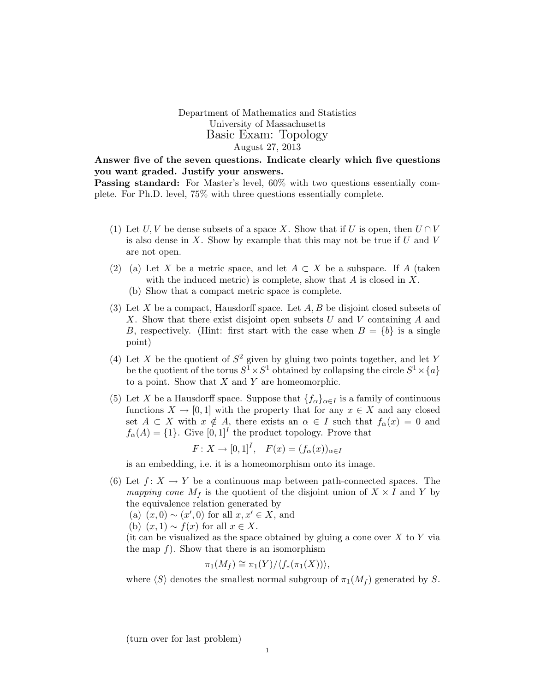Department of Mathematics and Statistics University of Massachusetts Basic Exam: Topology August 27, 2013

Answer five of the seven questions. Indicate clearly which five questions you want graded. Justify your answers.

Passing standard: For Master's level, 60% with two questions essentially complete. For Ph.D. level, 75% with three questions essentially complete.

- (1) Let U, V be dense subsets of a space X. Show that if U is open, then  $U \cap V$ is also dense in  $X$ . Show by example that this may not be true if  $U$  and  $V$ are not open.
- (2) (a) Let X be a metric space, and let  $A \subset X$  be a subspace. If A (taken with the induced metric) is complete, show that  $A$  is closed in  $X$ .
	- (b) Show that a compact metric space is complete.
- (3) Let X be a compact, Hausdorff space. Let  $A, B$  be disjoint closed subsets of X. Show that there exist disjoint open subsets  $U$  and  $V$  containing  $A$  and B, respectively. (Hint: first start with the case when  $B = \{b\}$  is a single point)
- (4) Let X be the quotient of  $S^2$  given by gluing two points together, and let Y be the quotient of the torus  $S^1 \times S^1$  obtained by collapsing the circle  $S^1 \times \{a\}$ to a point. Show that  $X$  and  $Y$  are homeomorphic.
- (5) Let X be a Hausdorff space. Suppose that  ${f_\alpha}_{\alpha\in I}$  is a family of continuous functions  $X \to [0, 1]$  with the property that for any  $x \in X$  and any closed set  $A \subset X$  with  $x \notin A$ , there exists an  $\alpha \in I$  such that  $f_{\alpha}(x) = 0$  and  $f_{\alpha}(A) = \{1\}$ . Give  $[0, 1]^I$  the product topology. Prove that

$$
F: X \to [0,1]^I, \quad F(x) = (f_{\alpha}(x))_{\alpha \in I}
$$

is an embedding, i.e. it is a homeomorphism onto its image.

(6) Let  $f: X \to Y$  be a continuous map between path-connected spaces. The mapping cone  $M_f$  is the quotient of the disjoint union of  $X \times I$  and Y by the equivalence relation generated by

(a)  $(x, 0) \sim (x', 0)$  for all  $x, x' \in X$ , and

(b)  $(x, 1) \sim f(x)$  for all  $x \in X$ .

(it can be visualized as the space obtained by gluing a cone over  $X$  to  $Y$  via the map  $f$ ). Show that there is an isomorphism

$$
\pi_1(M_f) \cong \pi_1(Y)/\langle f_*(\pi_1(X))\rangle,
$$

where  $\langle S \rangle$  denotes the smallest normal subgroup of  $\pi_1(M_f)$  generated by S.

(turn over for last problem)